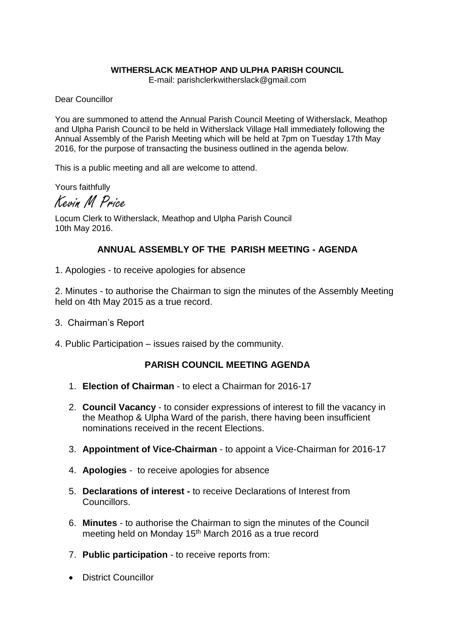#### **WITHERSLACK MEATHOP AND ULPHA PARISH COUNCIL**

E-mail: parishclerkwitherslack@gmail.com

Dear Councillor

You are summoned to attend the Annual Parish Council Meeting of Witherslack, Meathop and Ulpha Parish Council to be held in Witherslack Village Hall immediately following the Annual Assembly of the Parish Meeting which will be held at 7pm on Tuesday 17th May 2016, for the purpose of transacting the business outlined in the agenda below.

This is a public meeting and all are welcome to attend.

Yours faithfully

Kevin M Price

Locum Clerk to Witherslack, Meathop and Ulpha Parish Council 10th May 2016.

# **ANNUAL ASSEMBLY OF THE PARISH MEETING - AGENDA**

1. Apologies - to receive apologies for absence

2. Minutes - to authorise the Chairman to sign the minutes of the Assembly Meeting held on 4th May 2015 as a true record.

- 3. Chairman's Report
- 4. Public Participation issues raised by the community.

### **PARISH COUNCIL MEETING AGENDA**

- 1. **Election of Chairman** to elect a Chairman for 2016-17
- 2. **Council Vacancy** to consider expressions of interest to fill the vacancy in the Meathop & Ulpha Ward of the parish, there having been insufficient nominations received in the recent Elections.
- 3. **Appointment of Vice-Chairman** to appoint a Vice-Chairman for 2016-17
- 4. **Apologies** to receive apologies for absence
- 5. **Declarations of interest -** to receive Declarations of Interest from Councillors.
- 6. **Minutes** to authorise the Chairman to sign the minutes of the Council meeting held on Monday 15<sup>th</sup> March 2016 as a true record
- 7. **Public participation** to receive reports from:
- **•** District Councillor